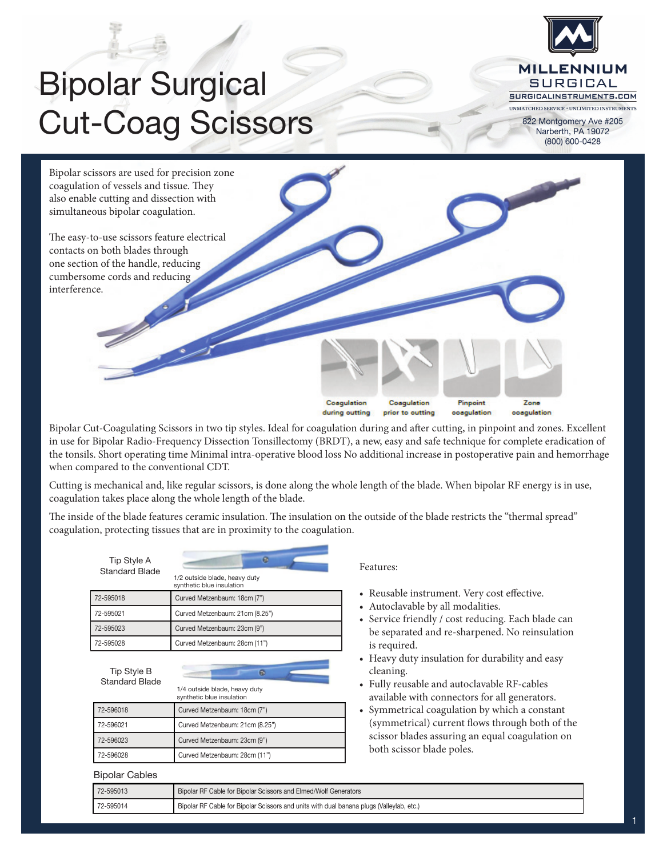

## Bipolar Surgical Cut-Coag Scissors

822 Montgomery Ave #205 Narberth, PA 19072 (800) 600-0428



Bipolar Cut-Coagulating Scissors in two tip styles. Ideal for coagulation during and after cutting, in pinpoint and zones. Excellent in use for Bipolar Radio-Frequency Dissection Tonsillectomy (BRDT), a new, easy and safe technique for complete eradication of the tonsils. Short operating time Minimal intra-operative blood loss No additional increase in postoperative pain and hemorrhage when compared to the conventional CDT.

Cutting is mechanical and, like regular scissors, is done along the whole length of the blade. When bipolar RF energy is in use, coagulation takes place along the whole length of the blade.

The inside of the blade features ceramic insulation. The insulation on the outside of the blade restricts the "thermal spread" coagulation, protecting tissues that are in proximity to the coagulation.

| Tip Style A<br><b>Standard Blade</b> | e<br>1/2 outside blade, heavy duty<br>synthetic blue insulation |
|--------------------------------------|-----------------------------------------------------------------|
| 72-595018                            | Curved Metzenbaum: 18cm (7")                                    |
| 72-595021                            | Curved Metzenbaum: 21cm (8.25")                                 |
| 72-595023                            | Curved Metzenbaum: 23cm (9")                                    |
| 72-595028                            | Curved Metzenbaum: 28cm (11")                                   |
| Tip Style B<br><b>Standard Blade</b> | ø<br>1/4 outside blade, heavy duty<br>synthetic blue insulation |
| 72-596018                            | Curved Metzenbaum: 18cm (7")                                    |
| 72-596021                            | Curved Metzenbaum: 21cm (8.25")                                 |
| 72-596023                            | Curved Metzenbaum: 23cm (9")                                    |
| 72-596028                            | Curved Metzenbaum: 28cm (11")                                   |
| <b>Bipolar Cables</b>                |                                                                 |
| 72-595013                            | Binolar RE Cable for Binolar Sciesors and Elmed Wolf Generate   |

Features:

- Reusable instrument. Very cost effective.
- • Autoclavable by all modalities.
- Service friendly / cost reducing. Each blade can be separated and re-sharpened. No reinsulation is required.
- Heavy duty insulation for durability and easy cleaning.
- • Fully reusable and autoclavable RF-cables available with connectors for all generators.
- Symmetrical coagulation by which a constant (symmetrical) current flows through both of the scissor blades assuring an equal coagulation on both scissor blade poles.

| 72-595013 | Bipolar RF Cable for Bipolar Scissors and Elmed/Wolf Generators                          |
|-----------|------------------------------------------------------------------------------------------|
| 72-595014 | Bipolar RF Cable for Bipolar Scissors and units with dual banana plugs (Valleylab, etc.) |